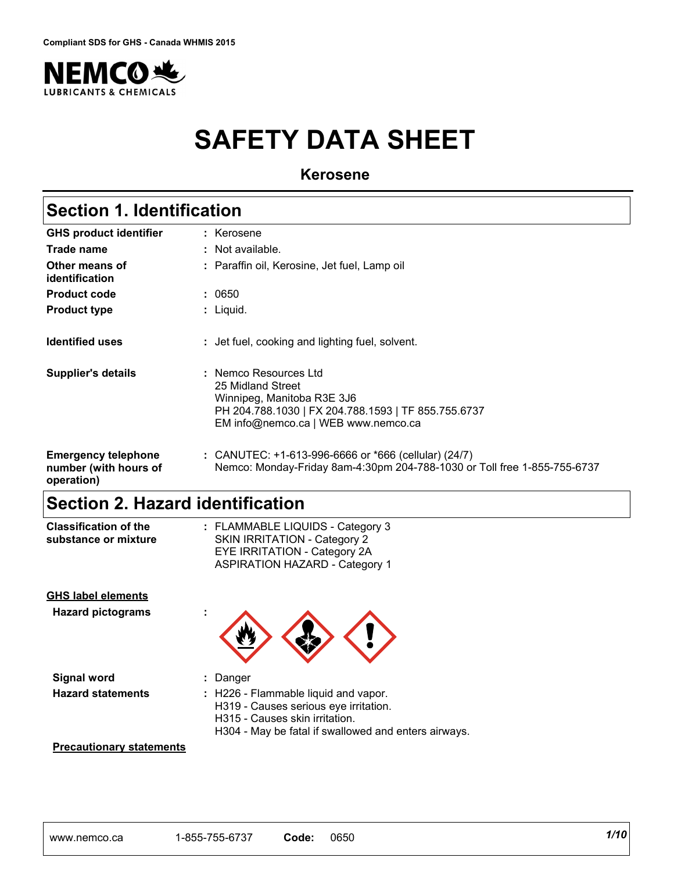

# **SAFETY DATA SHEET**

#### **Kerosene**

### **Section 1. Identification**

| <b>GHS product identifier</b>                                     | : Kerosene                                                                                                                                                             |
|-------------------------------------------------------------------|------------------------------------------------------------------------------------------------------------------------------------------------------------------------|
| Trade name                                                        | : Not available.                                                                                                                                                       |
| Other means of<br>identification                                  | : Paraffin oil, Kerosine, Jet fuel, Lamp oil                                                                                                                           |
| <b>Product code</b>                                               | : 0650                                                                                                                                                                 |
| <b>Product type</b>                                               | $:$ Liquid.                                                                                                                                                            |
| <b>Identified uses</b>                                            | : Jet fuel, cooking and lighting fuel, solvent.                                                                                                                        |
| Supplier's details                                                | : Nemco Resources Ltd<br>25 Midland Street<br>Winnipeg, Manitoba R3E 3J6<br>PH 204.788.1030   FX 204.788.1593   TF 855.755.6737<br>EM info@nemco.ca   WEB www.nemco.ca |
| <b>Emergency telephone</b><br>number (with hours of<br>operation) | : CANUTEC: $+1-613-996-6666$ or $*666$ (cellular) (24/7)<br>Nemco: Monday-Friday 8am-4:30pm 204-788-1030 or Toll free 1-855-755-6737                                   |

### **Section 2. Hazard identification**

| <b>Classification of the</b> | $\therefore$ FLAMMABLE LIQUIDS - Category 3 |  |
|------------------------------|---------------------------------------------|--|
| substance or mixture         | SKIN IRRITATION - Category 2                |  |
|                              | EYE IRRITATION - Category 2A                |  |
|                              | <b>ASPIRATION HAZARD - Category 1</b>       |  |

#### **GHS label elements**

**Hazard pictograms :**



**Signal word :** Danger

- 
- **Hazard statements :** H226 Flammable liquid and vapor.
	- H319 Causes serious eye irritation.
		- H315 Causes skin irritation.
		- H304 May be fatal if swallowed and enters airways.

#### **Precautionary statements**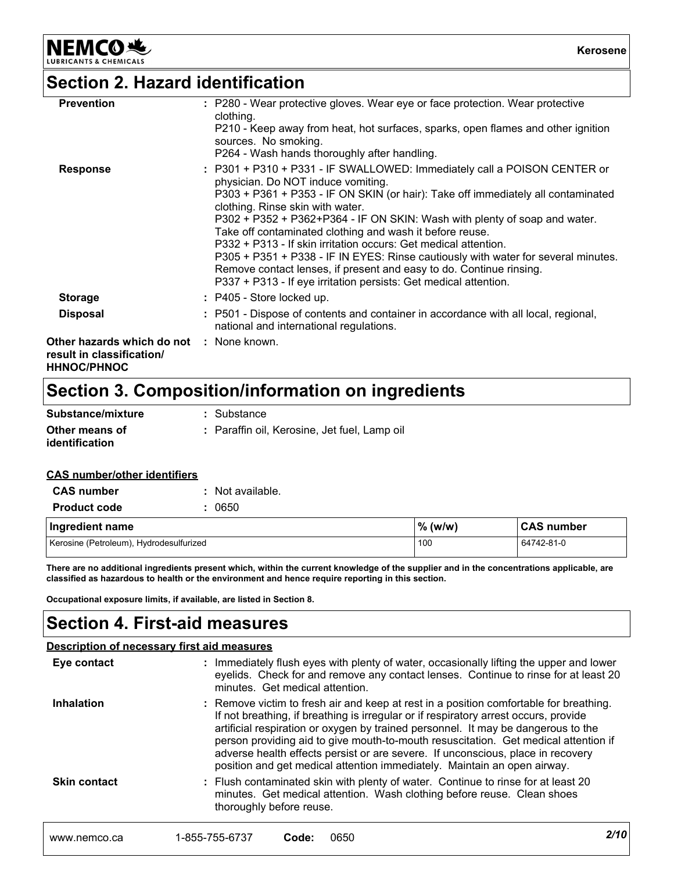**NEMCO头** 

**Kerosene**

### **Section 2. Hazard identification**

| <b>Prevention</b>                                                                                  | : P280 - Wear protective gloves. Wear eye or face protection. Wear protective<br>clothing.<br>P210 - Keep away from heat, hot surfaces, sparks, open flames and other ignition<br>sources. No smoking.<br>P264 - Wash hands thoroughly after handling.                                                                                                                                                                                                                                                                                                                                                                                                                             |
|----------------------------------------------------------------------------------------------------|------------------------------------------------------------------------------------------------------------------------------------------------------------------------------------------------------------------------------------------------------------------------------------------------------------------------------------------------------------------------------------------------------------------------------------------------------------------------------------------------------------------------------------------------------------------------------------------------------------------------------------------------------------------------------------|
| <b>Response</b>                                                                                    | : P301 + P310 + P331 - IF SWALLOWED: Immediately call a POISON CENTER or<br>physician. Do NOT induce vomiting.<br>P303 + P361 + P353 - IF ON SKIN (or hair): Take off immediately all contaminated<br>clothing. Rinse skin with water.<br>P302 + P352 + P362+P364 - IF ON SKIN: Wash with plenty of soap and water.<br>Take off contaminated clothing and wash it before reuse.<br>P332 + P313 - If skin irritation occurs: Get medical attention.<br>P305 + P351 + P338 - IF IN EYES: Rinse cautiously with water for several minutes.<br>Remove contact lenses, if present and easy to do. Continue rinsing.<br>P337 + P313 - If eye irritation persists: Get medical attention. |
| <b>Storage</b>                                                                                     | $\therefore$ P405 - Store locked up.                                                                                                                                                                                                                                                                                                                                                                                                                                                                                                                                                                                                                                               |
| <b>Disposal</b>                                                                                    | : P501 - Dispose of contents and container in accordance with all local, regional,<br>national and international regulations.                                                                                                                                                                                                                                                                                                                                                                                                                                                                                                                                                      |
| <b>Other hazards which do not : None known.</b><br>result in classification/<br><b>HHNOC/PHNOC</b> |                                                                                                                                                                                                                                                                                                                                                                                                                                                                                                                                                                                                                                                                                    |

### **Section 3. Composition/information on ingredients**

| <b>Substance/mixture</b>         | : Substance                                  |
|----------------------------------|----------------------------------------------|
| Other means of<br>identification | : Paraffin oil, Kerosine, Jet fuel, Lamp oil |

#### **CAS number/other identifiers**

| <b>CAS number</b>                       | Not available. |            |                   |
|-----------------------------------------|----------------|------------|-------------------|
| <b>Product code</b>                     | 0650           |            |                   |
| Ingredient name                         |                | $\%$ (w/w) | <b>CAS number</b> |
| Kerosine (Petroleum), Hydrodesulfurized |                | 100        | 64742-81-0        |

**There are no additional ingredients present which, within the current knowledge of the supplier and in the concentrations applicable, are classified as hazardous to health or the environment and hence require reporting in this section.**

**Occupational exposure limits, if available, are listed in Section 8.**

### **Section 4. First-aid measures**

| Eye contact         | <b>Description of necessary first aid measures</b><br>: Immediately flush eyes with plenty of water, occasionally lifting the upper and lower<br>eyelids. Check for and remove any contact lenses. Continue to rinse for at least 20<br>minutes. Get medical attention.                                                                                                                                                                                                                                                   |
|---------------------|---------------------------------------------------------------------------------------------------------------------------------------------------------------------------------------------------------------------------------------------------------------------------------------------------------------------------------------------------------------------------------------------------------------------------------------------------------------------------------------------------------------------------|
| <b>Inhalation</b>   | : Remove victim to fresh air and keep at rest in a position comfortable for breathing.<br>If not breathing, if breathing is irregular or if respiratory arrest occurs, provide<br>artificial respiration or oxygen by trained personnel. It may be dangerous to the<br>person providing aid to give mouth-to-mouth resuscitation. Get medical attention if<br>adverse health effects persist or are severe. If unconscious, place in recovery<br>position and get medical attention immediately. Maintain an open airway. |
| <b>Skin contact</b> | : Flush contaminated skin with plenty of water. Continue to rinse for at least 20<br>minutes. Get medical attention. Wash clothing before reuse. Clean shoes<br>thoroughly before reuse.                                                                                                                                                                                                                                                                                                                                  |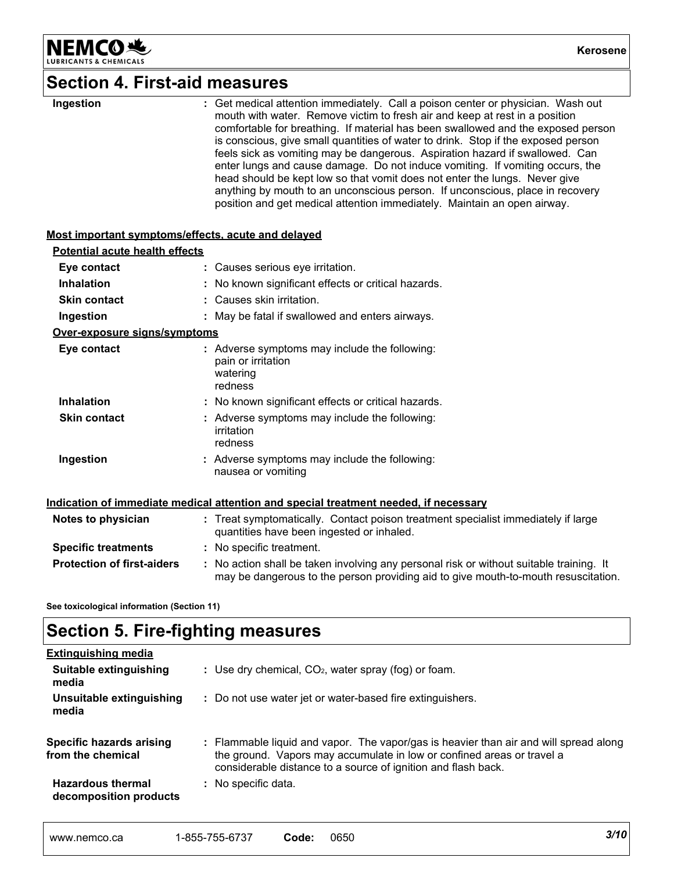

### **Section 4. First-aid measures**

| Ingestion                                          | Get medical attention immediately. Call a poison center or physician. Wash out<br>mouth with water. Remove victim to fresh air and keep at rest in a position<br>comfortable for breathing. If material has been swallowed and the exposed person<br>is conscious, give small quantities of water to drink. Stop if the exposed person<br>feels sick as vomiting may be dangerous. Aspiration hazard if swallowed. Can<br>enter lungs and cause damage. Do not induce vomiting. If vomiting occurs, the<br>head should be kept low so that vomit does not enter the lungs. Never give<br>anything by mouth to an unconscious person. If unconscious, place in recovery<br>position and get medical attention immediately. Maintain an open airway. |
|----------------------------------------------------|----------------------------------------------------------------------------------------------------------------------------------------------------------------------------------------------------------------------------------------------------------------------------------------------------------------------------------------------------------------------------------------------------------------------------------------------------------------------------------------------------------------------------------------------------------------------------------------------------------------------------------------------------------------------------------------------------------------------------------------------------|
| Most important symptoms/effects, acute and delayed |                                                                                                                                                                                                                                                                                                                                                                                                                                                                                                                                                                                                                                                                                                                                                    |
| <b>Potential acute health effects</b>              |                                                                                                                                                                                                                                                                                                                                                                                                                                                                                                                                                                                                                                                                                                                                                    |
| Eye contact                                        | : Causes serious eye irritation.                                                                                                                                                                                                                                                                                                                                                                                                                                                                                                                                                                                                                                                                                                                   |
| <b>Inhalation</b>                                  | No known significant effects or critical hazards.                                                                                                                                                                                                                                                                                                                                                                                                                                                                                                                                                                                                                                                                                                  |
| <b>Skin contact</b>                                | Causes skin irritation.                                                                                                                                                                                                                                                                                                                                                                                                                                                                                                                                                                                                                                                                                                                            |
| Ingestion                                          | : May be fatal if swallowed and enters airways.                                                                                                                                                                                                                                                                                                                                                                                                                                                                                                                                                                                                                                                                                                    |
| Over-exposure signs/symptoms                       |                                                                                                                                                                                                                                                                                                                                                                                                                                                                                                                                                                                                                                                                                                                                                    |
| Eye contact                                        | : Adverse symptoms may include the following:<br>pain or irritation<br>watering<br>redness                                                                                                                                                                                                                                                                                                                                                                                                                                                                                                                                                                                                                                                         |
| <b>Inhalation</b>                                  | : No known significant effects or critical hazards.                                                                                                                                                                                                                                                                                                                                                                                                                                                                                                                                                                                                                                                                                                |
| <b>Skin contact</b>                                | : Adverse symptoms may include the following:<br>irritation<br>redness                                                                                                                                                                                                                                                                                                                                                                                                                                                                                                                                                                                                                                                                             |
| Ingestion                                          | : Adverse symptoms may include the following:<br>nausea or vomiting                                                                                                                                                                                                                                                                                                                                                                                                                                                                                                                                                                                                                                                                                |
|                                                    | Indication of immediate medical attention and special treatment needed, if necessary                                                                                                                                                                                                                                                                                                                                                                                                                                                                                                                                                                                                                                                               |
| Notes to physician                                 | : Treat symptomatically. Contact poison treatment specialist immediately if large<br>quantities have been ingested or inhaled.                                                                                                                                                                                                                                                                                                                                                                                                                                                                                                                                                                                                                     |
| <b>Specific treatments</b>                         | : No specific treatment.                                                                                                                                                                                                                                                                                                                                                                                                                                                                                                                                                                                                                                                                                                                           |
| <b>Protection of first-aiders</b>                  | : No action shall be taken involving any personal risk or without suitable training. It<br>may be dangerous to the person providing aid to give mouth-to-mouth resuscitation.                                                                                                                                                                                                                                                                                                                                                                                                                                                                                                                                                                      |

**See toxicological information (Section 11)**

### **Section 5. Fire-fighting measures**

| <b>Extinguishing media</b>                           |                                                                                                                                                                                                                                  |
|------------------------------------------------------|----------------------------------------------------------------------------------------------------------------------------------------------------------------------------------------------------------------------------------|
| Suitable extinguishing<br>media                      | : Use dry chemical, $CO2$ , water spray (fog) or foam.                                                                                                                                                                           |
| Unsuitable extinguishing<br>media                    | : Do not use water jet or water-based fire extinguishers.                                                                                                                                                                        |
| <b>Specific hazards arising</b><br>from the chemical | : Flammable liquid and vapor. The vapor/gas is heavier than air and will spread along<br>the ground. Vapors may accumulate in low or confined areas or travel a<br>considerable distance to a source of ignition and flash back. |
| <b>Hazardous thermal</b><br>decomposition products   | : No specific data.                                                                                                                                                                                                              |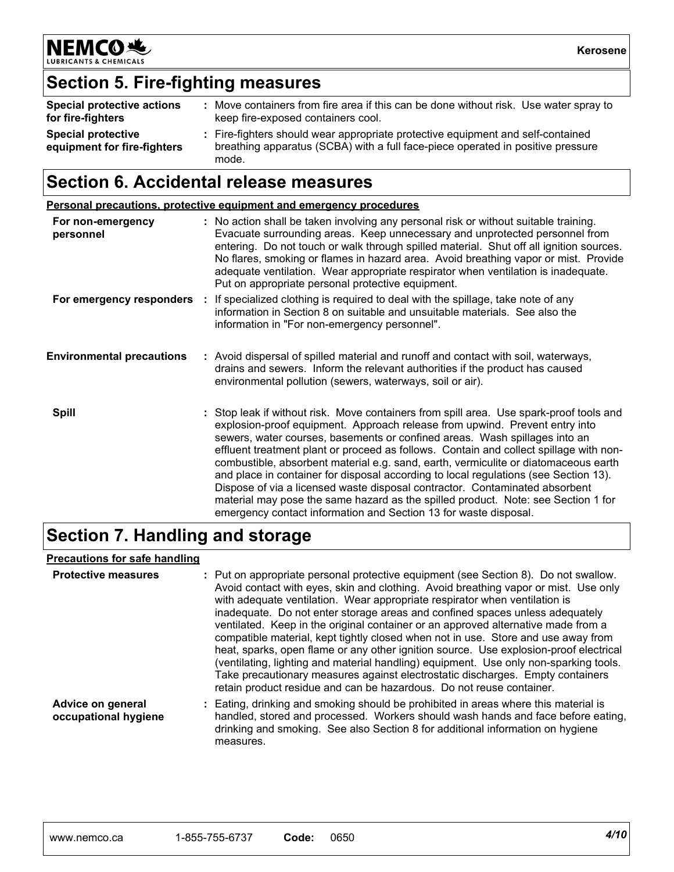

LUBRIC CHEMICALS

### **Section 5. Fire-fighting measures**

| Special protective actions                               | Move containers from fire area if this can be done without risk. Use water spray to                                                                                       |
|----------------------------------------------------------|---------------------------------------------------------------------------------------------------------------------------------------------------------------------------|
| for fire-fighters                                        | keep fire-exposed containers cool.                                                                                                                                        |
| <b>Special protective</b><br>equipment for fire-fighters | Fire-fighters should wear appropriate protective equipment and self-contained<br>breathing apparatus (SCBA) with a full face-piece operated in positive pressure<br>mode. |

### **Section 6. Accidental release measures**

**Personal precautions, protective equipment and emergency procedures**

| For non-emergency<br>personnel   | : No action shall be taken involving any personal risk or without suitable training.<br>Evacuate surrounding areas. Keep unnecessary and unprotected personnel from<br>entering. Do not touch or walk through spilled material. Shut off all ignition sources.<br>No flares, smoking or flames in hazard area. Avoid breathing vapor or mist. Provide<br>adequate ventilation. Wear appropriate respirator when ventilation is inadequate.<br>Put on appropriate personal protective equipment.                                                                                                                                                                                                                                                                       |
|----------------------------------|-----------------------------------------------------------------------------------------------------------------------------------------------------------------------------------------------------------------------------------------------------------------------------------------------------------------------------------------------------------------------------------------------------------------------------------------------------------------------------------------------------------------------------------------------------------------------------------------------------------------------------------------------------------------------------------------------------------------------------------------------------------------------|
|                                  | For emergency responders : If specialized clothing is required to deal with the spillage, take note of any<br>information in Section 8 on suitable and unsuitable materials. See also the<br>information in "For non-emergency personnel".                                                                                                                                                                                                                                                                                                                                                                                                                                                                                                                            |
| <b>Environmental precautions</b> | : Avoid dispersal of spilled material and runoff and contact with soil, waterways,<br>drains and sewers. Inform the relevant authorities if the product has caused<br>environmental pollution (sewers, waterways, soil or air).                                                                                                                                                                                                                                                                                                                                                                                                                                                                                                                                       |
| <b>Spill</b>                     | : Stop leak if without risk. Move containers from spill area. Use spark-proof tools and<br>explosion-proof equipment. Approach release from upwind. Prevent entry into<br>sewers, water courses, basements or confined areas. Wash spillages into an<br>effluent treatment plant or proceed as follows. Contain and collect spillage with non-<br>combustible, absorbent material e.g. sand, earth, vermiculite or diatomaceous earth<br>and place in container for disposal according to local regulations (see Section 13).<br>Dispose of via a licensed waste disposal contractor. Contaminated absorbent<br>material may pose the same hazard as the spilled product. Note: see Section 1 for<br>emergency contact information and Section 13 for waste disposal. |

### **Section 7. Handling and storage**

#### **Precautions for safe handling**

| <b>Protective measures</b>                | : Put on appropriate personal protective equipment (see Section 8). Do not swallow.<br>Avoid contact with eyes, skin and clothing. Avoid breathing vapor or mist. Use only<br>with adequate ventilation. Wear appropriate respirator when ventilation is<br>inadequate. Do not enter storage areas and confined spaces unless adequately<br>ventilated. Keep in the original container or an approved alternative made from a<br>compatible material, kept tightly closed when not in use. Store and use away from<br>heat, sparks, open flame or any other ignition source. Use explosion-proof electrical<br>(ventilating, lighting and material handling) equipment. Use only non-sparking tools.<br>Take precautionary measures against electrostatic discharges. Empty containers<br>retain product residue and can be hazardous. Do not reuse container. |
|-------------------------------------------|----------------------------------------------------------------------------------------------------------------------------------------------------------------------------------------------------------------------------------------------------------------------------------------------------------------------------------------------------------------------------------------------------------------------------------------------------------------------------------------------------------------------------------------------------------------------------------------------------------------------------------------------------------------------------------------------------------------------------------------------------------------------------------------------------------------------------------------------------------------|
| Advice on general<br>occupational hygiene | : Eating, drinking and smoking should be prohibited in areas where this material is<br>handled, stored and processed. Workers should wash hands and face before eating,<br>drinking and smoking. See also Section 8 for additional information on hygiene<br>measures.                                                                                                                                                                                                                                                                                                                                                                                                                                                                                                                                                                                         |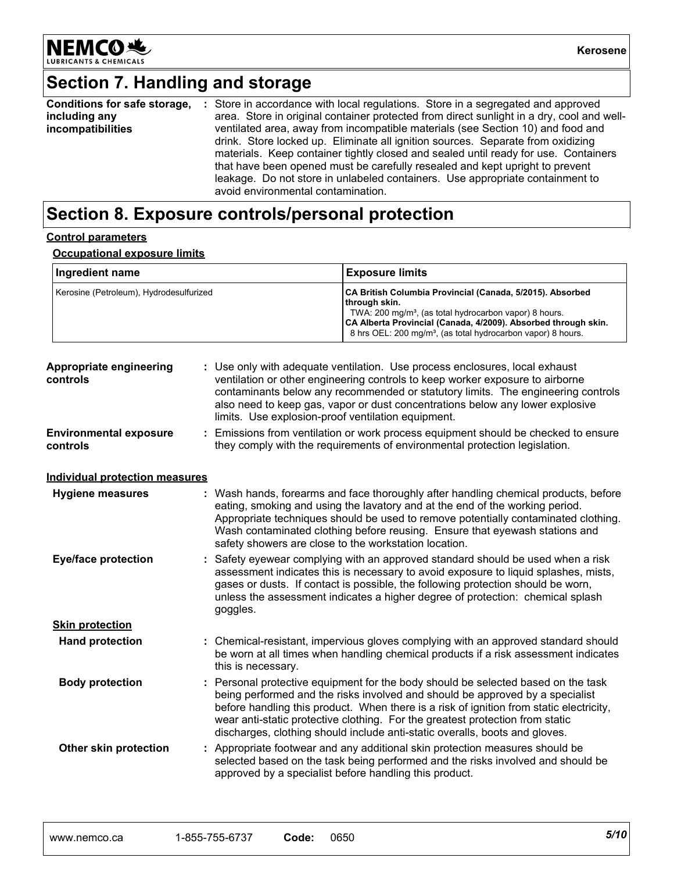

## **Section 7. Handling and storage**

| Conditions for safe storage, | : Store in accordance with local regulations. Store in a segregated and approved          |
|------------------------------|-------------------------------------------------------------------------------------------|
| including any                | area. Store in original container protected from direct sunlight in a dry, cool and well- |
| incompatibilities            | ventilated area, away from incompatible materials (see Section 10) and food and           |
|                              | drink. Store locked up. Eliminate all ignition sources. Separate from oxidizing           |
|                              | materials. Keep container tightly closed and sealed until ready for use. Containers       |
|                              | that have been opened must be carefully resealed and kept upright to prevent              |
|                              | leakage. Do not store in unlabeled containers. Use appropriate containment to             |
|                              | avoid environmental contamination.                                                        |

### **Section 8. Exposure controls/personal protection**

#### **Control parameters**

**Occupational exposure limits**

| Ingredient name                           |                    | <b>Exposure limits</b>                                                                                                                                                                                                                                                                                                                                                                                                        |  |  |
|-------------------------------------------|--------------------|-------------------------------------------------------------------------------------------------------------------------------------------------------------------------------------------------------------------------------------------------------------------------------------------------------------------------------------------------------------------------------------------------------------------------------|--|--|
| Kerosine (Petroleum), Hydrodesulfurized   |                    | CA British Columbia Provincial (Canada, 5/2015). Absorbed<br>through skin.<br>TWA: 200 mg/m <sup>3</sup> , (as total hydrocarbon vapor) 8 hours.<br>CA Alberta Provincial (Canada, 4/2009). Absorbed through skin.<br>8 hrs OEL: 200 mg/m <sup>3</sup> , (as total hydrocarbon vapor) 8 hours.                                                                                                                                |  |  |
| Appropriate engineering<br>controls       |                    | : Use only with adequate ventilation. Use process enclosures, local exhaust<br>ventilation or other engineering controls to keep worker exposure to airborne<br>contaminants below any recommended or statutory limits. The engineering controls<br>also need to keep gas, vapor or dust concentrations below any lower explosive<br>limits. Use explosion-proof ventilation equipment.                                       |  |  |
| <b>Environmental exposure</b><br>controls |                    | : Emissions from ventilation or work process equipment should be checked to ensure<br>they comply with the requirements of environmental protection legislation.                                                                                                                                                                                                                                                              |  |  |
| <b>Individual protection measures</b>     |                    |                                                                                                                                                                                                                                                                                                                                                                                                                               |  |  |
| <b>Hygiene measures</b>                   |                    | : Wash hands, forearms and face thoroughly after handling chemical products, before<br>eating, smoking and using the lavatory and at the end of the working period.<br>Appropriate techniques should be used to remove potentially contaminated clothing.<br>Wash contaminated clothing before reusing. Ensure that eyewash stations and<br>safety showers are close to the workstation location.                             |  |  |
| <b>Eye/face protection</b>                | goggles.           | : Safety eyewear complying with an approved standard should be used when a risk<br>assessment indicates this is necessary to avoid exposure to liquid splashes, mists,<br>gases or dusts. If contact is possible, the following protection should be worn,<br>unless the assessment indicates a higher degree of protection: chemical splash                                                                                  |  |  |
| <b>Skin protection</b>                    |                    |                                                                                                                                                                                                                                                                                                                                                                                                                               |  |  |
| <b>Hand protection</b>                    | this is necessary. | : Chemical-resistant, impervious gloves complying with an approved standard should<br>be worn at all times when handling chemical products if a risk assessment indicates                                                                                                                                                                                                                                                     |  |  |
| <b>Body protection</b>                    |                    | : Personal protective equipment for the body should be selected based on the task<br>being performed and the risks involved and should be approved by a specialist<br>before handling this product. When there is a risk of ignition from static electricity,<br>wear anti-static protective clothing. For the greatest protection from static<br>discharges, clothing should include anti-static overalls, boots and gloves. |  |  |
| Other skin protection                     |                    | : Appropriate footwear and any additional skin protection measures should be<br>selected based on the task being performed and the risks involved and should be<br>approved by a specialist before handling this product.                                                                                                                                                                                                     |  |  |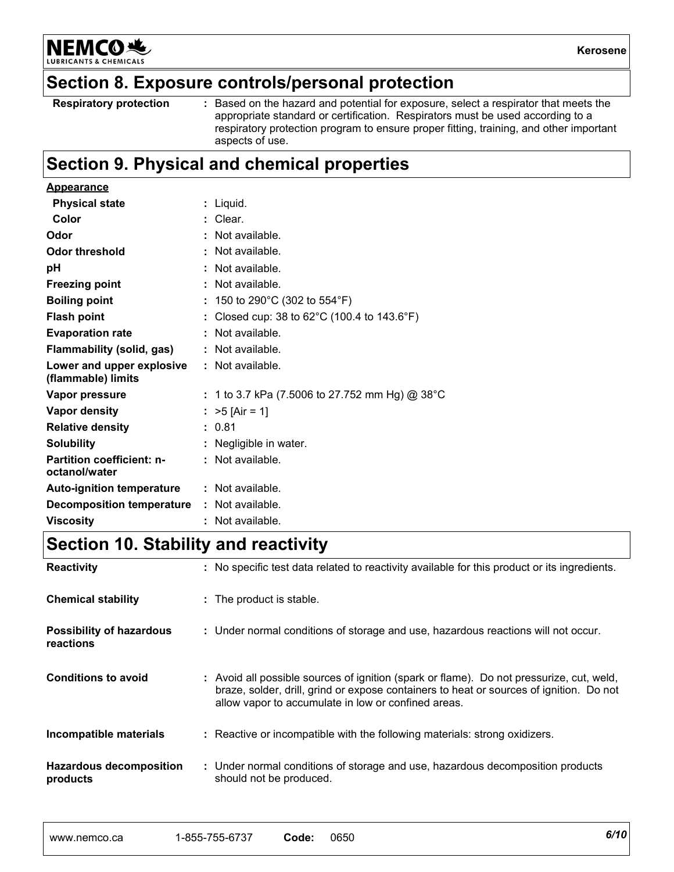**NEMCO头 INTS & CHEMICALS** 

### **Section 8. Exposure controls/personal protection**

**Respiratory protection :**

Based on the hazard and potential for exposure, select a respirator that meets the appropriate standard or certification. Respirators must be used according to a respiratory protection program to ensure proper fitting, training, and other important aspects of use.

### **Section 9. Physical and chemical properties**

| <b>Appearance</b>                                 |                                                       |
|---------------------------------------------------|-------------------------------------------------------|
| <b>Physical state</b>                             | : Liquid.                                             |
| Color                                             | : Clear.                                              |
| Odor                                              | : Not available.                                      |
| <b>Odor threshold</b>                             | : Not available.                                      |
| рH                                                | : Not available.                                      |
| <b>Freezing point</b>                             | : Not available.                                      |
| <b>Boiling point</b>                              | : 150 to 290°C (302 to 554°F)                         |
| <b>Flash point</b>                                | : Closed cup: 38 to $62^{\circ}$ C (100.4 to 143.6°F) |
| <b>Evaporation rate</b>                           | : Not available.                                      |
| Flammability (solid, gas)                         | $\therefore$ Not available.                           |
| Lower and upper explosive<br>(flammable) limits   | $\therefore$ Not available.                           |
| Vapor pressure                                    | : 1 to 3.7 kPa (7.5006 to 27.752 mm Hg) @ 38°C        |
| Vapor density                                     | : $>5$ [Air = 1]                                      |
| <b>Relative density</b>                           | : 0.81                                                |
| <b>Solubility</b>                                 | : Negligible in water.                                |
| <b>Partition coefficient: n-</b><br>octanol/water | : Not available.                                      |
| <b>Auto-ignition temperature</b>                  | : Not available.                                      |
| <b>Decomposition temperature : Not available.</b> |                                                       |
| <b>Viscosity</b>                                  | : Not available.                                      |

### **Section 10. Stability and reactivity**

| <b>Reactivity</b>                            | : No specific test data related to reactivity available for this product or its ingredients.                                                                                                                                               |
|----------------------------------------------|--------------------------------------------------------------------------------------------------------------------------------------------------------------------------------------------------------------------------------------------|
| <b>Chemical stability</b>                    | : The product is stable.                                                                                                                                                                                                                   |
| <b>Possibility of hazardous</b><br>reactions | : Under normal conditions of storage and use, hazardous reactions will not occur.                                                                                                                                                          |
| <b>Conditions to avoid</b>                   | : Avoid all possible sources of ignition (spark or flame). Do not pressurize, cut, weld,<br>braze, solder, drill, grind or expose containers to heat or sources of ignition. Do not<br>allow vapor to accumulate in low or confined areas. |
| Incompatible materials                       | : Reactive or incompatible with the following materials: strong oxidizers.                                                                                                                                                                 |
| <b>Hazardous decomposition</b><br>products   | : Under normal conditions of storage and use, hazardous decomposition products<br>should not be produced.                                                                                                                                  |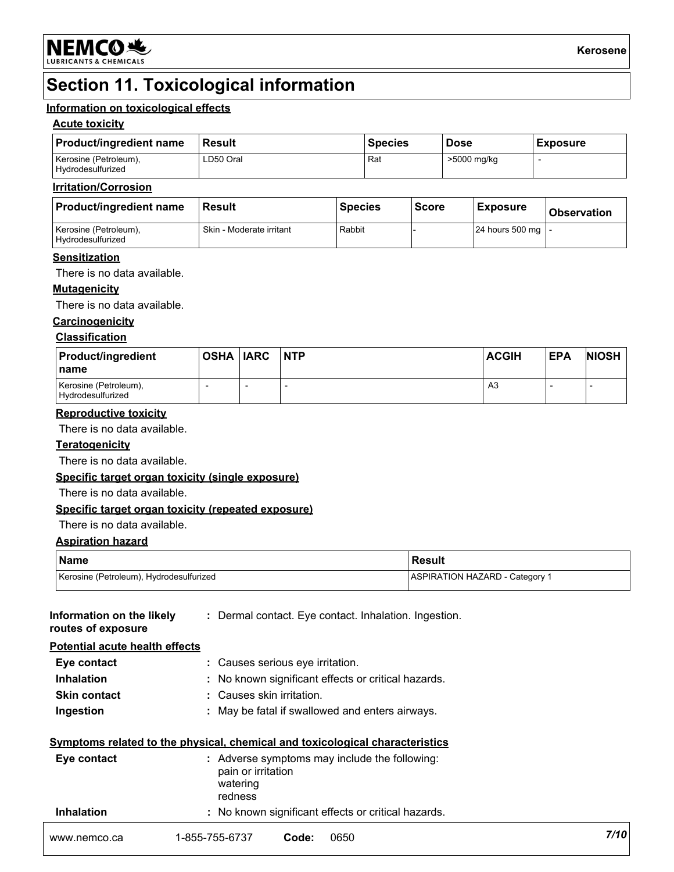

### **Section 11. Toxicological information**

#### **Information on toxicological effects**

#### **Acute toxicity**

| <b>Product/ingredient name</b>             | Result    | <b>Species</b> | <b>Dose</b> | <b>Exposure</b> |
|--------------------------------------------|-----------|----------------|-------------|-----------------|
| Kerosine (Petroleum),<br>Hydrodesulfurized | ∟D50 Oral | Rat            | >5000 mg/kg |                 |

#### **Irritation/Corrosion**

| <b>Product/ingredient name</b>             | Result                   | Species | <b>Score</b> | <b>Exposure</b>     | <b>Observation</b> |
|--------------------------------------------|--------------------------|---------|--------------|---------------------|--------------------|
| Kerosine (Petroleum),<br>Hydrodesulfurized | Skin - Moderate irritant | Rabbit  |              | 24 hours 500 mg   - |                    |

#### **Sensitization**

There is no data available.

#### **Mutagenicity**

There is no data available.

#### **Carcinogenicity**

#### **Classification**

| <b>Product/ingredient</b><br>⊺name         | OSHA  IARC | <b>NTP</b> | <b>ACGIH</b> | <b>EPA</b> | NIOSH |
|--------------------------------------------|------------|------------|--------------|------------|-------|
| Kerosine (Petroleum),<br>Hydrodesulfurized |            |            | A3           |            |       |

#### **Reproductive toxicity**

There is no data available.

#### **Teratogenicity**

There is no data available.

#### **Specific target organ toxicity (single exposure)**

There is no data available.

#### **Specific target organ toxicity (repeated exposure)**

#### There is no data available.

#### **Aspiration hazard**

| <b>Name</b>                             | Result                                |  |
|-----------------------------------------|---------------------------------------|--|
| Kerosine (Petroleum), Hydrodesulfurized | <b>ASPIRATION HAZARD - Category 1</b> |  |

| Information on the likely<br>routes of exposure | : Dermal contact. Eye contact. Inhalation. Ingestion.                                                                                                                  |      |
|-------------------------------------------------|------------------------------------------------------------------------------------------------------------------------------------------------------------------------|------|
| Potential acute health effects                  |                                                                                                                                                                        |      |
| Eye contact                                     | : Causes serious eye irritation.                                                                                                                                       |      |
| <b>Inhalation</b>                               | : No known significant effects or critical hazards.                                                                                                                    |      |
| <b>Skin contact</b>                             | : Causes skin irritation.                                                                                                                                              |      |
| Ingestion                                       | : May be fatal if swallowed and enters airways.                                                                                                                        |      |
| Eye contact                                     | <u>Symptoms related to the physical, chemical and toxicological characteristics</u><br>: Adverse symptoms may include the following:<br>pain or irritation<br>watering |      |
|                                                 | redness                                                                                                                                                                |      |
| <b>Inhalation</b>                               | : No known significant effects or critical hazards.                                                                                                                    |      |
| www.nemco.ca                                    | 0650<br>1-855-755-6737<br>Code:                                                                                                                                        | 7/10 |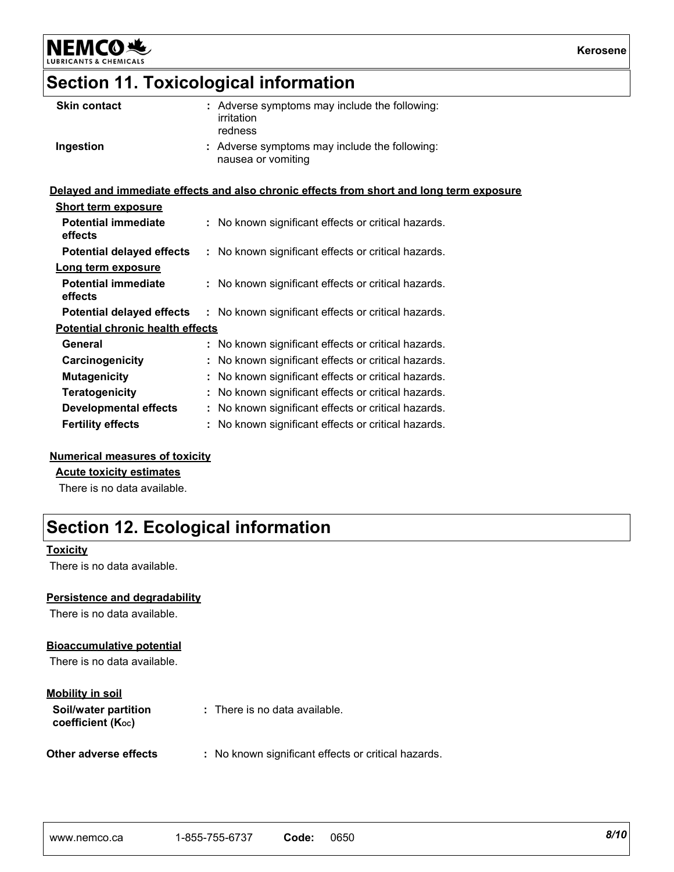**Kerosene**

### **Section 11. Toxicological information**

| <b>Skin contact</b>                     | : Adverse symptoms may include the following:<br>irritation<br>redness                   |
|-----------------------------------------|------------------------------------------------------------------------------------------|
| Ingestion                               | : Adverse symptoms may include the following:<br>nausea or vomiting                      |
|                                         | Delayed and immediate effects and also chronic effects from short and long term exposure |
| <b>Short term exposure</b>              |                                                                                          |
| <b>Potential immediate</b><br>effects   | : No known significant effects or critical hazards.                                      |
| <b>Potential delayed effects</b>        | : No known significant effects or critical hazards.                                      |
| Long term exposure                      |                                                                                          |
| <b>Potential immediate</b><br>effects   | : No known significant effects or critical hazards.                                      |
| <b>Potential delayed effects</b>        | : No known significant effects or critical hazards.                                      |
| <b>Potential chronic health effects</b> |                                                                                          |
| General                                 | : No known significant effects or critical hazards.                                      |
| Carcinogenicity                         | : No known significant effects or critical hazards.                                      |
| <b>Mutagenicity</b>                     | : No known significant effects or critical hazards.                                      |
| <b>Teratogenicity</b>                   | : No known significant effects or critical hazards.                                      |
| <b>Developmental effects</b>            | : No known significant effects or critical hazards.                                      |
| <b>Fertility effects</b>                | : No known significant effects or critical hazards.                                      |

#### **Numerical measures of toxicity**

#### **Acute toxicity estimates**

**NEMCO头** 

LUBRICA

There is no data available.

### **Section 12. Ecological information**

#### **Toxicity**

There is no data available.

#### **Persistence and degradability**

There is no data available.

#### **Bioaccumulative potential**

There is no data available.

#### **Mobility in soil**

| Soil/water partition<br>coefficient (K <sub>oc</sub> ) | : There is no data available.                       |
|--------------------------------------------------------|-----------------------------------------------------|
| Other adverse effects                                  | : No known significant effects or critical hazards. |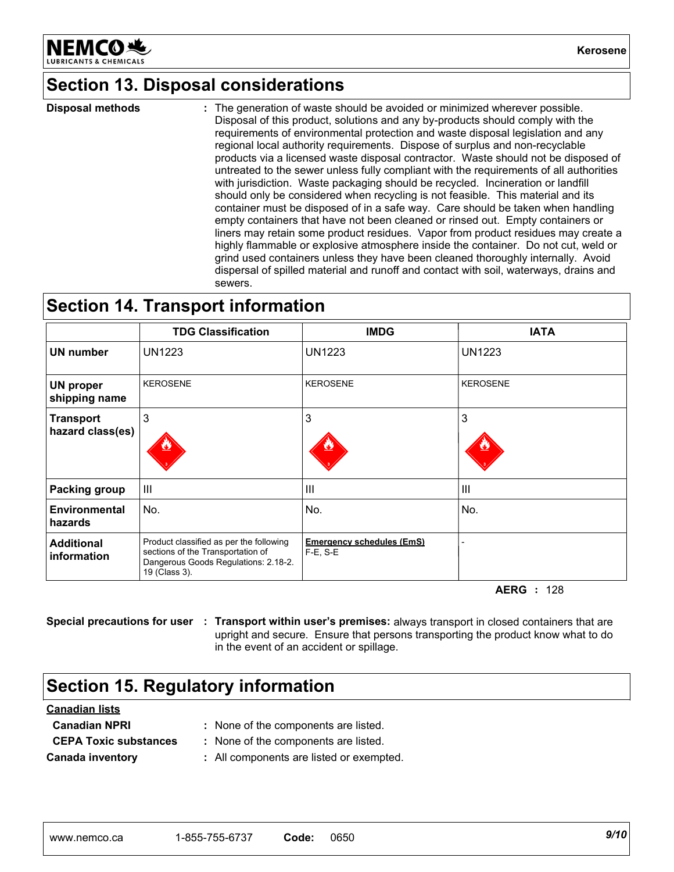

**Kerosene**

### **Section 13. Disposal considerations**

The generation of waste should be avoided or minimized wherever possible. Disposal of this product, solutions and any by-products should comply with the requirements of environmental protection and waste disposal legislation and any regional local authority requirements. Dispose of surplus and non-recyclable products via a licensed waste disposal contractor. Waste should not be disposed of untreated to the sewer unless fully compliant with the requirements of all authorities with jurisdiction. Waste packaging should be recycled. Incineration or landfill should only be considered when recycling is not feasible. This material and its container must be disposed of in a safe way. Care should be taken when handling empty containers that have not been cleaned or rinsed out. Empty containers or liners may retain some product residues. Vapor from product residues may create a highly flammable or explosive atmosphere inside the container. Do not cut, weld or grind used containers unless they have been cleaned thoroughly internally. Avoid dispersal of spilled material and runoff and contact with soil, waterways, drains and sewers. **Disposal methods :**

### **Section 14. Transport information**

|                                      | <b>TDG Classification</b>                                                                                                             | <b>IMDG</b>                                  | <b>IATA</b>     |
|--------------------------------------|---------------------------------------------------------------------------------------------------------------------------------------|----------------------------------------------|-----------------|
| <b>UN number</b>                     | <b>UN1223</b>                                                                                                                         | UN1223                                       | <b>UN1223</b>   |
| <b>UN proper</b><br>shipping name    | <b>KEROSENE</b>                                                                                                                       | <b>KEROSENE</b>                              | <b>KEROSENE</b> |
| <b>Transport</b><br>hazard class(es) | 3                                                                                                                                     | 3                                            | 3               |
| Packing group                        | $\mathbf{III}$                                                                                                                        | Ш                                            | $\mathbf{III}$  |
| Environmental<br>hazards             | No.                                                                                                                                   | No.                                          | No.             |
| <b>Additional</b><br>information     | Product classified as per the following<br>sections of the Transportation of<br>Dangerous Goods Regulations: 2.18-2.<br>19 (Class 3). | <b>Emergency schedules (EmS)</b><br>F-E, S-E |                 |

**AERG :** 128

**Special precautions for user Transport within user's premises:** always transport in closed containers that are **:** upright and secure. Ensure that persons transporting the product know what to do in the event of an accident or spillage.

### **Section 15. Regulatory information**

#### **Canadian lists**

| <b>Canadian NPRI</b>         | : None of the components are listed.     |
|------------------------------|------------------------------------------|
| <b>CEPA Toxic substances</b> | : None of the components are listed.     |
| <b>Canada inventory</b>      | : All components are listed or exempted. |